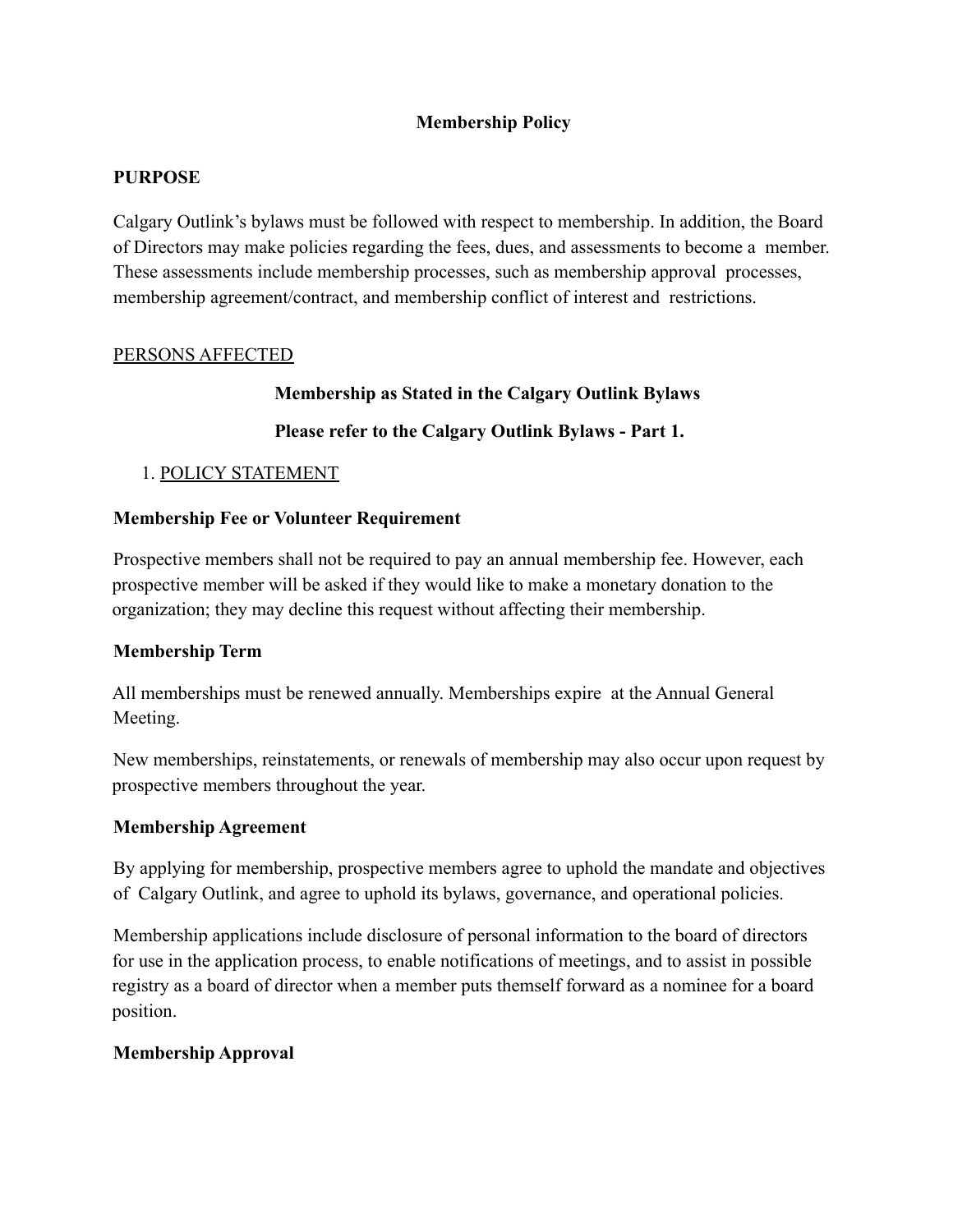## **Membership Policy**

#### **PURPOSE**

Calgary Outlink's bylaws must be followed with respect to membership. In addition, the Board of Directors may make policies regarding the fees, dues, and assessments to become a member. These assessments include membership processes, such as membership approval processes, membership agreement/contract, and membership conflict of interest and restrictions.

#### PERSONS AFFECTED

## **Membership as Stated in the Calgary Outlink Bylaws**

## **Please refer to the Calgary Outlink Bylaws - Part 1.**

## 1. POLICY STATEMENT

#### **Membership Fee or Volunteer Requirement**

Prospective members shall not be required to pay an annual membership fee. However, each prospective member will be asked if they would like to make a monetary donation to the organization; they may decline this request without affecting their membership.

## **Membership Term**

All memberships must be renewed annually. Memberships expire at the Annual General Meeting.

New memberships, reinstatements, or renewals of membership may also occur upon request by prospective members throughout the year.

#### **Membership Agreement**

By applying for membership, prospective members agree to uphold the mandate and objectives of Calgary Outlink, and agree to uphold its bylaws, governance, and operational policies.

Membership applications include disclosure of personal information to the board of directors for use in the application process, to enable notifications of meetings, and to assist in possible registry as a board of director when a member puts themself forward as a nominee for a board position.

## **Membership Approval**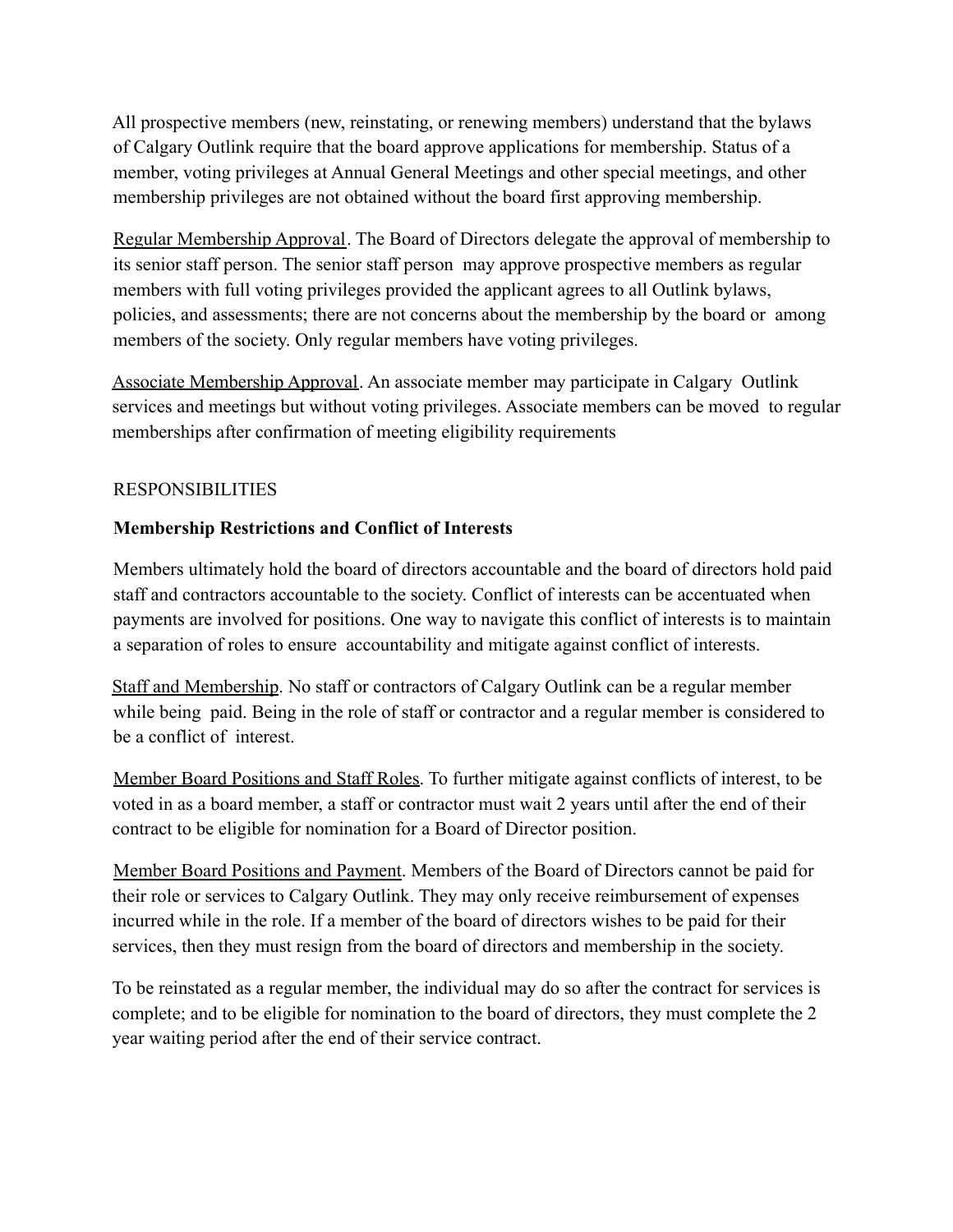All prospective members (new, reinstating, or renewing members) understand that the bylaws of Calgary Outlink require that the board approve applications for membership. Status of a member, voting privileges at Annual General Meetings and other special meetings, and other membership privileges are not obtained without the board first approving membership.

Regular Membership Approval. The Board of Directors delegate the approval of membership to its senior staff person. The senior staff person may approve prospective members as regular members with full voting privileges provided the applicant agrees to all Outlink bylaws, policies, and assessments; there are not concerns about the membership by the board or among members of the society. Only regular members have voting privileges.

Associate Membership Approval. An associate member may participate in Calgary Outlink services and meetings but without voting privileges. Associate members can be moved to regular memberships after confirmation of meeting eligibility requirements

## RESPONSIBILITIES

## **Membership Restrictions and Conflict of Interests**

Members ultimately hold the board of directors accountable and the board of directors hold paid staff and contractors accountable to the society. Conflict of interests can be accentuated when payments are involved for positions. One way to navigate this conflict of interests is to maintain a separation of roles to ensure accountability and mitigate against conflict of interests.

Staff and Membership. No staff or contractors of Calgary Outlink can be a regular member while being paid. Being in the role of staff or contractor and a regular member is considered to be a conflict of interest.

Member Board Positions and Staff Roles. To further mitigate against conflicts of interest, to be voted in as a board member, a staff or contractor must wait 2 years until after the end of their contract to be eligible for nomination for a Board of Director position.

Member Board Positions and Payment. Members of the Board of Directors cannot be paid for their role or services to Calgary Outlink. They may only receive reimbursement of expenses incurred while in the role. If a member of the board of directors wishes to be paid for their services, then they must resign from the board of directors and membership in the society.

To be reinstated as a regular member, the individual may do so after the contract for services is complete; and to be eligible for nomination to the board of directors, they must complete the 2 year waiting period after the end of their service contract.